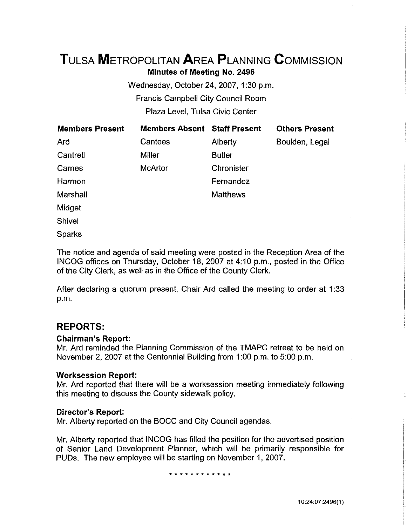# **TuLsA METROPOLITAN AREA PLANNING CoMMISSION**

**Minutes of Meeting No. 2496** 

Wednesday, October 24, 2007, 1:30 p.m. Francis Campbell City Council Room Plaza Level, Tulsa Civic Center

| <b>Members Present</b> | <b>Members Absent Staff Present</b> |                 | <b>Others Present</b> |
|------------------------|-------------------------------------|-----------------|-----------------------|
| Ard                    | Cantees                             | Alberty         | Boulden, Legal        |
| Cantrell               | <b>Miller</b>                       | <b>Butler</b>   |                       |
| Carnes                 | <b>McArtor</b>                      | Chronister      |                       |
| Harmon                 |                                     | Fernandez       |                       |
| Marshall               |                                     | <b>Matthews</b> |                       |
| Midget                 |                                     |                 |                       |
| Shivel                 |                                     |                 |                       |

Sparks

The notice and agenda of said meeting were posted in the Reception Area of the INCOG offices on Thursday, October 18, 2007 at 4:10 p.m., posted in the Office of the City Clerk, as well as in the Office of the County Clerk.

After declaring a quorum present, Chair Ard called the meeting to order at 1 :33 p.m.

# **REPORTS:**

# **Chairman's Report:**

Mr. Ard reminded the Planning Commission of the TMAPC retreat to be held on November 2, 2007 at the Centennial Building from 1:00 p.m. to 5:00 p.m.

# **Worksession Report:**

Mr. Ard reported that there will be a worksession meeting immediately following this meeting to discuss the County sidewalk policy.

# **Director's Report:**

Mr. Alberty reported on the BOCC and City Council agendas.

Mr. Alberty reported that INCOG has filled the position for the advertised position of Senior Land Development Planner, which will be primarily responsible for PUDs. The new employee will be starting on November 1, 2007.

\* \* \* \* \* \* \* \* \* \* \* \*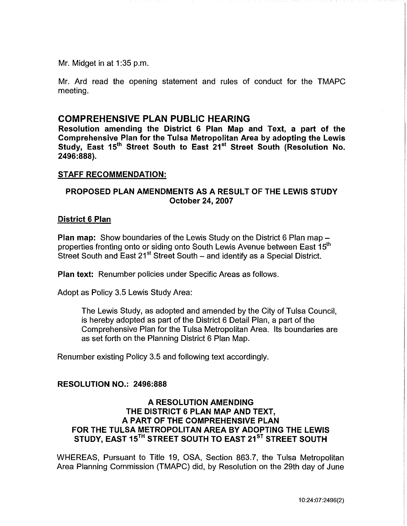Mr. Midget in at 1:35 p.m.

Mr. Ard read the opening statement and rules of conduct for the TMAPC meeting.

# COMPREHENSIVE PLAN PUBLIC HEARING

Resolution amending the District 6 Plan Map and Text, a part of the Comprehensive Plan for the Tulsa Metropolitan Area by adopting the Lewis Study, East 15<sup>th</sup> Street South to East 21<sup>st</sup> Street South (Resolution No. 2496:888).

#### STAFF RECOMMENDATION:

# PROPOSED PLAN AMENDMENTS AS A RESULT OF THE LEWIS STUDY October 24, 2007

#### District 6 Plan

Plan map: Show boundaries of the Lewis Study on the District 6 Plan map properties fronting onto or siding onto South Lewis Avenue between East 15<sup>th</sup> Street South and East  $21<sup>st</sup>$  Street South – and identify as a Special District.

Plan text: Renumber policies under Specific Areas as follows.

Adopt as Policy 3.5 Lewis Study Area:

The Lewis Study, as adopted and amended by the City of Tulsa Council, is hereby adopted as part of the District 6 Detail Plan, a part of the Comprehensive Plan for the Tulsa Metropolitan Area. Its boundaries are as set forth on the Planning District 6 Plan Map.

Renumber existing Policy 3.5 and following text accordingly.

#### RESOLUTION NO.: 2496:888

# A RESOLUTION AMENDING THE DISTRICT 6 PLAN MAP AND TEXT, A PART OF THE COMPREHENSIVE PLAN FOR THE TULSA METROPOLITAN AREA BY ADOPTING THE LEWIS STUDY, EAST 15<sup>TH</sup> STREET SOUTH TO EAST 21<sup>ST</sup> STREET SOUTH

WHEREAS, Pursuant to Title 19, OSA, Section 863.7, the Tulsa Metropolitan Area Planning Commission (TMAPC) did, by Resolution on the 29th day of June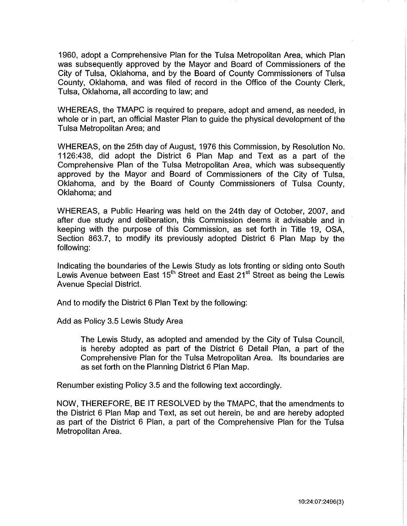1960, adopt a Comprehensive Plan for the Tulsa Metropolitan Area, which Plan was subsequently approved by the Mayor and Board of Commissioners of the City of Tulsa, Oklahoma, and by the Board of County Commissioners of Tulsa County, Oklahoma, and was filed of record in the Office of the County Clerk, Tulsa, Oklahoma, all according to law; and

WHEREAS, the TMAPC is required to prepare, adopt and amend, as needed, in whole or in part, an official Master Plan to guide the physical development of the Tulsa Metropolitan Area; and

WHEREAS, on the 25th day of August, 1976 this Commission, by Resolution No. 1126:438, did adopt the District 6 Plan Map and Text as a part of the Comprehensive Plan of the Tulsa Metropolitan Area, which was subsequently approved by the Mayor and Board of Commissioners of the City of Tulsa, Oklahoma, and by the Board of County Commissioners of Tulsa County, Oklahoma; and

WHEREAS, a Public Hearing was held on the 24th day of October, 2007, and after due study and deliberation, this Commission deems it advisable and in keeping with the purpose of this Commission, as set forth in Title 19, OSA, Section 863.7, to modify its previously adopted District 6 Plan Map by the following:

Indicating the boundaries of the Lewis Study as lots fronting or siding onto South Lewis Avenue between East 15<sup>th</sup> Street and East 21<sup>st</sup> Street as being the Lewis Avenue Special District.

And to modify the District 6 Plan Text by the following:

Add as Policy 3.5 Lewis Study Area

The Lewis Study, as adopted and amended by the City of Tulsa Council, is hereby adopted as part of the District 6 Detail Plan, a part of the Comprehensive Plan for the Tulsa Metropolitan Area. Its boundaries are as set forth on the Planning District 6 Plan Map.

Renumber existing Policy 3.5 and the following text accordingly.

NOW, THEREFORE, BE IT RESOLVED by the TMAPC, that the amendments to the District 6 Plan Map and Text, as set out herein, be and are hereby adopted as part of the District 6 Plan, a part of the Comprehensive Plan for the Tulsa Metropolitan Area.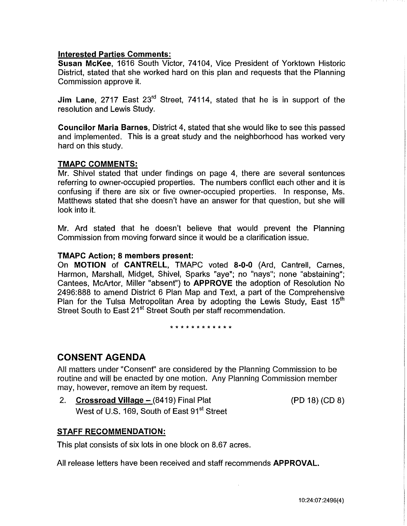# **Interested Parties Comments:**

**Susan McKee,** 1616 South Victor, 74104, Vice President of Yorktown Historic District, stated that she worked hard on this plan and requests that the Planning Commission approve it.

**Jim Lane, 2717 East 23<sup>rd</sup> Street, 74114, stated that he is in support of the** resolution and Lewis Study.

**Councilor Maria Barnes,** District 4, stated that she would like to see this passed and implemented. This is a great study and the neighborhood has worked very hard on this study.

#### **TMAPC COMMENTS:**

Mr. Shivel stated that under findings on page 4, there are several sentences referring to owner-occupied properties. The numbers conflict each other and it is confusing if there are six or five owner-occupied properties. In response, Ms. Matthews stated that she doesn't have an answer for that question, but she will look into it.

Mr. Ard stated that he doesn't believe that would prevent the Planning Commission from moving forward since it would be a clarification issue.

#### **TMAPC Action; 8 members present:**

On **MOTION of CANTRELL,** TMAPC voted **8-0-0** (Ard, Cantrell, Carnes, Harmon, Marshall, Midget, Shivel, Sparks "aye"; no "nays"; none "abstaining"; Cantees, McArtor, Miller "absent") to **APPROVE** the adoption of Resolution No 2496:888 to amend District 6 Plan Map and Text, a part of the Comprehensive Plan for the Tulsa Metropolitan Area by adopting the Lewis Study, East  $15<sup>th</sup>$ Street South to East 21<sup>st</sup> Street South per staff recommendation.

\* \* \* \* \* \* \* \* \* \* \* \*

# **CONSENT AGENDA**

All matters under "Consent" are considered by the Planning Commission to be routine and will be enacted by one motion. Any Planning Commission member may, however, remove an item by request.

2. **Crossroad Village-** (8419) Final Plat (PO 18) (CD 8) West of U.S. 169, South of East 91<sup>st</sup> Street

### **STAFF RECOMMENDATION:**

This plat consists of six lots in one block on 8.67 acres.

All release letters have been received and staff recommends **APPROVAL**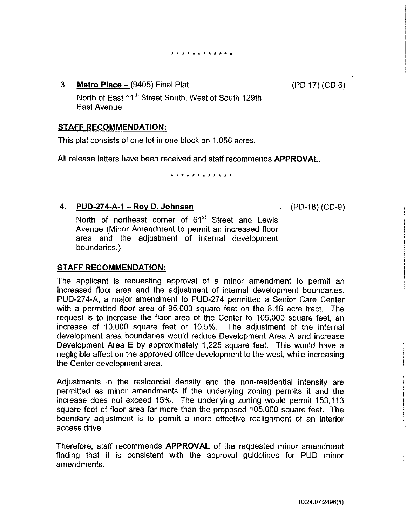- \* \* \* \* \* \* \* \* \* \* \* \*
- 3. **Metro Place-** (9405) Final Plat North of East 11<sup>th</sup> Street South, West of South 129th East Avenue

### **STAFF RECOMMENDATION:**

This plat consists of one lot in one block on 1.056 acres.

All release letters have been received and staff recommends **APPROVAL.** 

\*\*\*\*\*\*\*\*\*\*\*\*

4. **PUD-274-A-1- Roy D. Johnsen** 

(PD-18) (CD-9)

(PO 17) (CD 6)

North of northeast corner of 61<sup>st</sup> Street and Lewis Avenue (Minor Amendment to permit an increased floor area and the adjustment of internal development boundaries.)

#### **STAFF RECOMMENDATION:**

The applicant is requesting approval of a minor amendment to permit an increased floor area and the adjustment of internal development boundaries. PUD-274-A, a major amendment to PUD-274 permitted a Senior Care Center with a permitted floor area of 95,000 square feet on the 8.16 acre tract. The request is to increase the floor area of the Center to 105,000 square feet, an increase of 10,000 square feet or 10.5%. The adjustment of the internal development area boundaries would reduce Development Area A and increase Development Area E by approximately 1,225 square feet. This would have a negligible affect on the approved office development to the west, while increasing the Center development area.

Adjustments in the residential density and the non-residential intensity are permitted as minor amendments if the underlying zoning permits it and the increase does not exceed 15%. The underlying zoning would permit 153,113 square feet of floor area far more than the proposed 105,000 square feet. The boundary adjustment is to permit a more effective realignment of an interior access drive.

Therefore, staff recommends **APPROVAL** of the requested minor amendment finding that it is consistent with the approval guidelines for PUD minor amendments.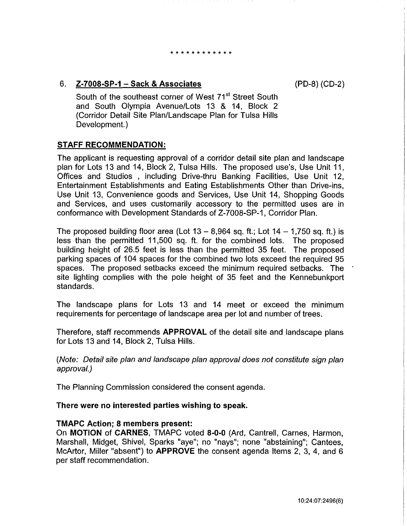#### \* \* \* \* \* \* \* \* \* \* \* \*

# 6. **Z-7008-SP-1 -Sack & Associates**

(PD-8) (CD-2)

South of the southeast corner of West 71<sup>st</sup> Street South and South Olympia Avenue/Lots 13 & 14, Block 2 (Corridor Detail Site Plan/Landscape Plan for Tulsa Hills Development.)

# **STAFF RECOMMENDATION:**

The applicant is requesting approval of a corridor detail site plan and landscape plan for Lots 13 and 14, Block 2, Tulsa Hills. The proposed use's, Use Unit 11, Offices and Studios , including Drive-thru Banking Facilities, Use Unit 12, Entertainment Establishments and Eating Establishments Other than Drive-ins, Use Unit 13, Convenience goods and Services, Use Unit 14, Shopping Goods and Services, and uses customarily accessory to the permitted uses are in conformance with Development Standards of Z-7008-SP-1, Corridor Plan.

The proposed building floor area (Lot  $13 - 8,964$  sq. ft.; Lot  $14 - 1,750$  sq. ft.) is less than the permitted 11 ,500 sq. ft. for the combined lots. The proposed building height of 26.5 feet is less than the permitted 35 feet. The proposed parking spaces of 104 spaces for the combined two lots exceed the required 95 spaces. The proposed setbacks exceed the minimum required setbacks. The site lighting complies with the pole height of 35 feet and the Kennebunkport standards.

The landscape plans for Lots 13 and 14 meet or exceed the minimum requirements for percentage of landscape area per lot and number of trees.

Therefore, staff recommends **APPROVAL** of the detail site and landscape plans for Lots 13 and 14, Block 2, Tulsa Hills.

(Note: Detail site plan and landscape plan approval does not constitute sign plan approval.)

The Planning Commission considered the consent agenda.

### **There were no interested parties wishing to speak.**

### **TMAPC Action; 8 members present:**

On **MOTION of CARNES,** TMAPC voted **8-0-0** (Ard, Cantrell, Carnes, Harmon, Marshall, Midget, Shivel, Sparks "aye"; no "nays"; none "abstaining"; Cantees, McArtor, Miller "absent") to **APPROVE** the consent agenda Items 2, 3, 4, and 6 per staff recommendation.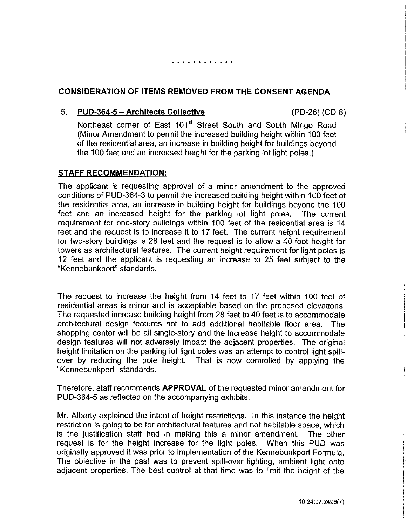#### \* \* \* \* \* \* \* \* \* \* \* \* \* \*

# **CONSIDERATION OF ITEMS REMOVED FROM THE CONSENT AGENDA**

# 5. **PUD-364-5 Architects Collective** (PD-26) (CD-8)

Northeast corner of East 101<sup>st</sup> Street South and South Mingo Road (Minor Amendment to permit the increased building height within 100 feet of the residential area, an increase in building height for buildings beyond the 100 feet and an increased height for the parking lot light poles.)

# **STAFF RECOMMENDATION:**

The applicant is requesting approval of a minor amendment to the approved conditions of PUD-364-3 to permit the increased building height within 100 feet of the residential area, an increase in building height for buildings beyond the 100 feet and an increased height for the parking lot light poles. The current requirement for one-story buildings within 100 feet of the residential area is 14 feet and the request is to increase it to 17 feet. The current height requirement for two-story buildings is 28 feet and the request is to allow a 40-foot height for towers as architectural features. The current height requirement for light poles is 12 feet and the applicant is requesting an increase to 25 feet subject to the "Kennebunkport" standards.

The request to increase the height from 14 feet to 17 feet within 100 feet of residential areas is minor and is acceptable based on the proposed elevations. The requested increase building height from 28 feet to 40 feet is to accommodate architectural design features not to add additional habitable floor area. The shopping center will be all single-story and the increase height to accommodate design features will not adversely impact the adjacent properties. The original height limitation on the parking lot light poles was an attempt to control light spillover by reducing the pole height. That is now controlled by applying the "Kennebunkport" standards.

Therefore, staff recommends **APPROVAL** of the requested minor amendment for PUD-364-5 as reflected on the accompanying exhibits.

Mr. Alberty explained the intent of height restrictions. In this instance the height restriction is going to be for architectural features and not habitable space, which is the justification staff had in making this a minor amendment. The other request is for the height increase for the light poles. When this PUD was originally approved it was prior to implementation of the Kennebunkport Formula. The objective in the past was to prevent spill-over lighting, ambient light onto adjacent properties. The best control at that time was to limit the height of the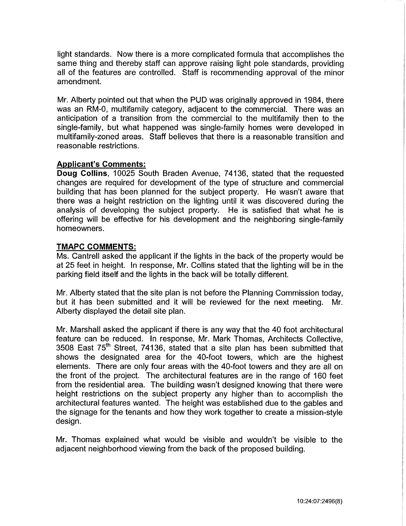light standards. Now there is a more complicated formula that accomplishes the same thing and thereby staff can approve raising light pole standards, providing all of the features are controlled. Staff is recommending approval of the minor amendment.

Mr. Alberty pointed out that when the PUD was originally approved in 1984, there was an RM-0, multifamily category, adjacent to the commercial. There was an anticipation of a transition from the commercial to the multifamily then to the single-family, but what happened was single-family homes were developed in multifamily-zoned areas. Staff believes that there is a reasonable transition and reasonable restrictions.

#### **Applicant's Comments:**

**Doug Collins,** 10025 South Braden Avenue, 74136, stated that the requested changes are required for development of the type of structure and commercial building that has been planned for the subject property. He wasn't aware that there was a height restriction on the lighting until it was discovered during the analysis of developing the subject property. He is satisfied that what he is offering will be effective for his development and the neighboring single-family homeowners.

#### **TMAPC COMMENTS:**

Ms. Cantrell asked the applicant if the lights in the back of the property would be at 25 feet in height. In response, Mr. Collins stated that the lighting will be in the parking field itself and the lights in the back will be totally different.

Mr. Alberty stated that the site plan is not before the Planning Commission today, but it has been submitted and it will be reviewed for the next meeting. Mr. Alberty displayed the detail site plan.

Mr. Marshall asked the applicant if there is any way that the 40 foot architectural feature can be reduced. In response, Mr. Mark Thomas, Architects Collective, 3508 East 75<sup>th</sup> Street, 74136, stated that a site plan has been submitted that shows the designated area for the 40-foot towers, which are the highest elements. There are only four areas with the 40-foot towers and they are all on the front of the project. The architectural features are in the range of 160 feet from the residential area. The building wasn't designed knowing that there were height restrictions on the subject property any higher than to accomplish the architectural features wanted. The height was established due to the gables and the signage for the tenants and how they work together to create a mission-style design.

Mr. Thomas explained what would be visible and wouldn't be visible to the adjacent neighborhood viewing from the back of the proposed building.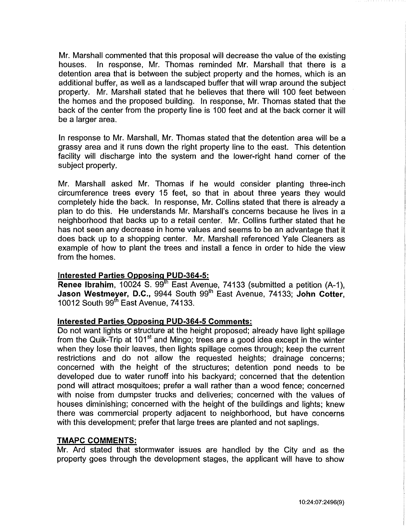Mr. Marshall commented that this proposal will decrease the value of the existing houses. In response, Mr. Thomas reminded Mr. Marshall that there is a detention area that is between the subject property and the homes, which is an additional buffer, as well as a landscaped buffer that will wrap around the subject property. Mr. Marshall stated that he believes that there will 100 feet between the homes and the proposed building. In response, Mr. Thomas stated that the back of the center from the property line is 100 feet and at the back corner it will be a larger area.

In response to Mr. Marshall, Mr. Thomas stated that the detention area will be a grassy area and it runs down the right property line to the east. This detention facility will discharge into the system and the lower-right hand corner of the subject property.

Mr. Marshall asked Mr. Thomas if he would consider planting three-inch circumference trees every 15 feet, so that in about three years they would completely hide the back. In response, Mr. Collins stated that there is already a plan to do this. He understands Mr. Marshall's concerns because he lives in a neighborhood that backs up to a retail center. Mr. Collins further stated that he has not seen any decrease in home values and seems to be an advantage that it does back up to a shopping center. Mr. Marshall referenced Yale Cleaners as example of how to plant the trees and install a fence in order to hide the view from the homes.

### **Interested Parties Opposina PUD-364-5:**

**Renee Ibrahim,** 10024 S. 99<sup>th</sup> East Avenue, 74133 (submitted a petition (A-1), **Jason Westmeyer, D.C.,** 9944 South 99<sup>th</sup> East Avenue, 74133; John Cotter, 10012 South 99<sup>th</sup> East Avenue, 74133.

#### **Interested Parties Opposing PUD-364-5 Comments:**

Do not want lights or structure at the height proposed; already have light spillage from the Quik-Trip at 101<sup>st</sup> and Mingo; trees are a good idea except in the winter when they lose their leaves, then lights spillage comes through; keep the current restrictions and do not allow the requested heights; drainage concerns; concerned with the height of the structures; detention pond needs to be developed due to water runoff into his backyard; concerned that the detention pond will attract mosquitoes; prefer a wall rather than a wood fence; concerned with noise from dumpster trucks and deliveries; concerned with the values of houses diminishing; concerned with the height of the buildings and lights; knew there was commercial property adjacent to neighborhood, but have concerns with this development; prefer that large trees are planted and not saplings.

### **TMAPC COMMENTS:**

Mr. Ard stated that stormwater issues are handled by the City and as the property goes through the development stages, the applicant will have to show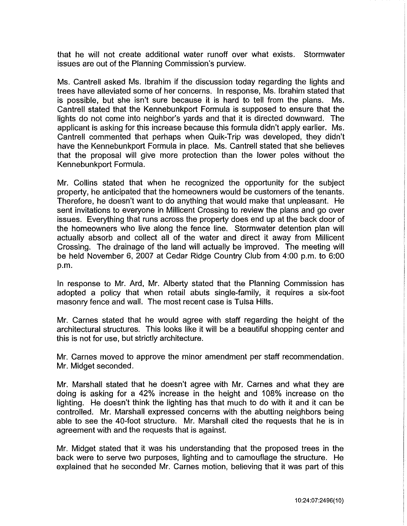that he will not create additional water runoff over what exists. Stormwater issues are out of the Planning Commission's purview.

Ms. Cantrell asked Ms. Ibrahim if the discussion today regarding the lights and trees have alleviated some of her concerns. In response, Ms. Ibrahim stated that is possible, but she isn't sure because it is hard to tell from the plans. Ms. Cantrell stated that the Kennebunkport Formula is supposed to ensure that the lights do not come into neighbor's yards and that it is directed downward. The applicant is asking for this increase because this formula didn't apply earlier. Ms. Cantrell commented that perhaps when Quik-Trip was developed, they didn't have the Kennebunkport Formula in place. Ms. Cantrell stated that she believes that the proposal will give more protection than the lower poles without the Kennebunkport Formula.

Mr. Collins stated that when he recognized the opportunity for the subject property, he anticipated that the homeowners would be customers of the tenants. Therefore, he doesn't want to do anything that would make that unpleasant. He sent invitations to everyone in Millicent Crossing to review the plans and go over issues. Everything that runs across the property does end up at the back door of the homeowners who live along the fence line. Stormwater detention plan will actually absorb and collect all of the water and direct it away from Millicent Crossing. The drainage of the land will actually be improved. The meeting will be held November 6, 2007 at Cedar Ridge Country Club from 4:00 p.m. to 6:00 p.m.

In response to Mr. Ard, Mr. Alberty stated that the Planning Commission has adopted a policy that when retail abuts single-family, it requires a six-foot masonry fence and wall. The most recent case is Tulsa Hills.

Mr. Carnes stated that he would agree with staff regarding the height of the architectural structures. This looks like it will be a beautiful shopping center and this is not for use, but strictly architecture.

Mr. Carnes moved to approve the minor amendment per staff recommendation. Mr. Midget seconded.

Mr. Marshall stated that he doesn't agree with Mr. Carnes and what they are doing is asking for a 42% increase in the height and 108% increase on the lighting. He doesn't think the lighting has that much to do with it and it can be controlled. Mr. Marshall expressed concerns with the abutting neighbors being able to see the 40-foot structure. Mr. Marshall cited the requests that he is in agreement with and the requests that is against.

Mr. Midget stated that it was his understanding that the proposed trees in the back were to serve two purposes, lighting and to camouflage the structure. He explained that he seconded Mr. Carnes motion, believing that it was part of this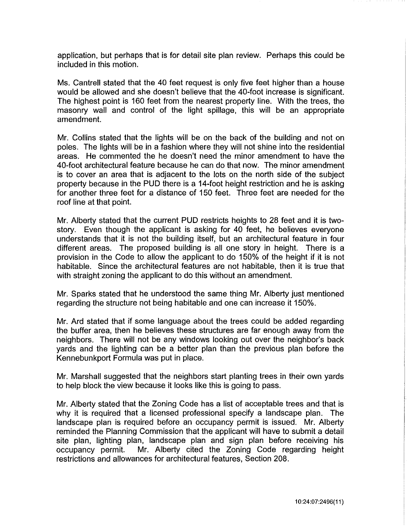application, but perhaps that is for detail site plan review. Perhaps this could be included in this motion.

Ms. Cantrell stated that the 40 feet request is only five feet higher than a house would be allowed and she doesn't believe that the 40-foot increase is significant. The highest point is 160 feet from the nearest property line. With the trees, the masonry wall and control of the light spillage, this will be an appropriate amendment.

Mr. Collins stated that the lights will be on the back of the building and not on poles. The lights will be in a fashion where they will not shine into the residential areas. He commented the he doesn't need the minor amendment to have the 40-foot architectural feature because he can do that now. The minor amendment is to cover an area that is adjacent to the lots on the north side of the subject property because in the PUD there is a 14-foot height restriction and he is asking for another three feet for a distance of 150 feet. Three feet are needed for the roof line at that point.

Mr. Alberty stated that the current PUD restricts heights to 28 feet and it is twostory. Even though the applicant is asking for 40 feet, he believes everyone understands that it is not the building itself, but an architectural feature in four different areas. The proposed building is all one story in height. There is a provision in the Code to allow the applicant to do 150% of the height if it is not habitable. Since the architectural features are not habitable, then it is true that with straight zoning the applicant to do this without an amendment.

Mr. Sparks stated that he understood the same thing Mr. Alberty just mentioned regarding the structure not being habitable and one can increase it 150%.

Mr. Ard stated that if some language about the trees could be added regarding the buffer area, then he believes these structures are far enough away from the neighbors. There will not be any windows looking out over the neighbor's back yards and the lighting can be a better plan than the previous plan before the Kennebunkport Formula was put in place.

Mr. Marshall suggested that the neighbors start planting trees in their own yards to help block the view because it looks like this is going to pass.

Mr. Alberty stated that the Zoning Code has a list of acceptable trees and that is why it is required that a licensed professional specify a landscape plan. The landscape plan is required before an occupancy permit is issued. Mr. Alberty reminded the Planning Commission that the applicant will have to submit a detail site plan, lighting plan, landscape plan and sign plan before receiving his occupancy permit. Mr. Alberty cited the Zoning Code regarding height restrictions and allowances for architectural features, Section 208.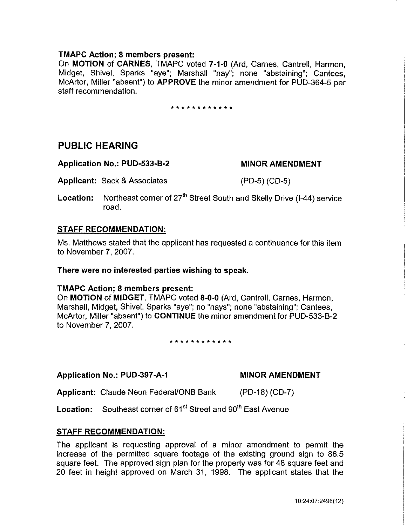### **TMAPC Action; 8 members present:**

On **MOTION of CARNES,** TMAPC voted **7-1-0** (Ard, Carnes, Cantrell, Harmon, Midget, Shivel, Sparks "aye"; Marshall "nay"; none "abstaining"; Cantees, McArtor, Miller "absent") to **APPROVE** the minor amendment for PUD-364-5 per staff recommendation.

\* \* \* \* \* \* \* \* \* \* \* \*

# **PUBLIC HEARING**

|  | Application No.: PUD-533-B-2            |
|--|-----------------------------------------|
|  | <b>Applicant: Sack &amp; Associates</b> |

(PD-5) (CD-5)

**MINOR AMENDMENT** 

**Location:** Northeast corner of 27<sup>th</sup> Street South and Skelly Drive (I-44) service road.

### **STAFF RECOMMENDATION:**

Ms. Matthews stated that the applicant has requested a continuance for this item to November 7, 2007.

#### **There were no interested parties wishing to speak.**

#### **TMAPC Action; 8 members present:**

On **MOTION of MIDGET,** TMAPC voted **8-0-0** (Ard, Cantrell, Carnes, Harmon, Marshall, Midget, Shivel, Sparks "aye"; no "nays"; none "abstaining"; Cantees, McArtor, Miller "absent") to **CONTINUE** the minor amendment for PUD-533-B-2 to November 7, 2007.

\* \* \* \* \* \* \* \* \* \* \* \*

Application No.: PUD-397-A-1 MINOR AMENDMENT

**Applicant:** Claude Neon Federal/ONB Bank (PD-18) (CD-7)

**Location:** Southeast corner of 61<sup>st</sup> Street and 90<sup>th</sup> East Avenue

### **STAFF RECOMMENDATION:**

The applicant is requesting approval of a minor amendment to permit the increase of the permitted square footage of the existing ground sign to 86.5 square feet. The approved sign plan for the property was for 48 square feet and 20 feet in height approved on March 31, 1998. The applicant states that the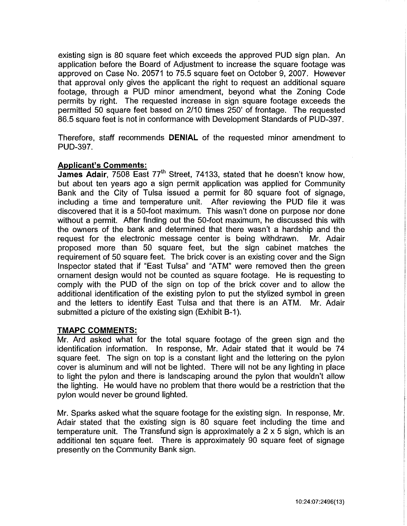existing sign is 80 square feet which exceeds the approved PUD sign plan. An application before the Board of Adjustment to increase the square footage was approved on Case No. 20571 to 75.5 square feet on October 9, 2007. However that approval only gives the applicant the right to request an additional square footage, through a PUD minor amendment, beyond what the Zoning Code permits by right. The requested increase in sign square footage exceeds the permitted 50 square feet based on 2/10 times 250' of frontage. The requested 86.5 square feet is not in conformance with Development Standards of PUD-397.

Therefore, staff recommends **DENIAL** of the requested minor amendment to PUD-397.

#### **Applicant's Comments:**

**James Adair.** 7508 East 77<sup>th</sup> Street, 74133, stated that he doesn't know how, but about ten years ago a sign permit application was applied for Community Bank and the City of Tulsa issued a permit for 80 square foot of signage, including a time and temperature unit. After reviewing the PUD file it was discovered that it is a 50-foot maximum. This wasn't done on purpose nor done without a permit. After finding out the 50-foot maximum, he discussed this with the owners of the bank and determined that there wasn't a hardship and the request for the electronic message center is being withdrawn. Mr. Adair proposed more than 50 square feet, but the sign cabinet matches the requirement of 50 square feet. The brick cover is an existing cover and the Sign Inspector stated that if "East Tulsa" and "ATM" were removed then the green ornament design would not be counted as square footage. He is requesting to comply with the PUD of the sign on top of the brick cover and to allow the additional identification of the existing pylon to put the stylized symbol in green and the letters to identify East Tulsa and that there is an ATM. Mr. Adair submitted a picture of the existing sign (Exhibit B-1).

#### **TMAPC COMMENTS:**

Mr. Ard asked what for the total square footage of the green sign and the identification information. In response, Mr. Adair stated that it would be 74 square feet. The sign on top is a constant light and the lettering on the pylon cover is aluminum and will not be lighted. There will not be any lighting in place to light the pylon and there is landscaping around the pylon that wouldn't allow the lighting. He would have no problem that there would be a restriction that the pylon would never be ground lighted.

Mr. Sparks asked what the square footage for the existing sign. In response, Mr. Adair stated that the existing sign is 80 square feet including the time and temperature unit. The Transfund sign is approximately a 2 x 5 sign, which is an additional ten square feet. There is approximately 90 square feet of signage presently on the Community Bank sign.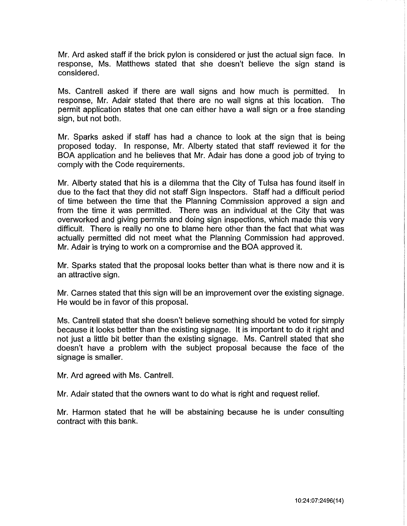Mr. Ard asked staff if the brick pylon is considered or just the actual sign face. In response. Ms. Matthews stated that she doesn't believe the sign stand is considered.

Ms. Cantrell asked if there are wall signs and how much is permitted. In response, Mr. Adair stated that there are no wall signs at this location. The permit application states that one can either have a wall sign or a free standing sign, but not both.

Mr. Sparks asked if staff has had a chance to look at the sign that is being proposed today. In response, Mr. Alberty stated that staff reviewed it for the BOA application and he believes that Mr. Adair has done a good job of trying to comply with the Code requirements.

Mr. Alberty stated that his is a dilemma that the City of Tulsa has found itself in due to the fact that they did not staff Sign Inspectors. Staff had a difficult period of time between the time that the Planning Commission approved a sign and from the time it was permitted. There was an individual at the City that was overworked and giving permits and doing sign inspections, which made this very difficult. There is really no one to blame here other than the fact that what was actually permitted did not meet what the Planning Commission had approved. Mr. Adair is trying to work on a compromise and the BOA approved it.

Mr. Sparks stated that the proposal looks better than what is there now and it is an attractive sign.

Mr. Carnes stated that this sign will be an improvement over the existing signage. He would be in favor of this proposal.

Ms. Cantrell stated that she doesn't believe something should be voted for simply because it looks better than the existing signage. It is important to do it right and not just a little bit better than the existing signage. Ms. Cantrell stated that she doesn't have a problem with the subject proposal because the face of the signage is smaller.

Mr. Ard agreed with Ms. Cantrell.

Mr. Adair stated that the owners want to do what is right and request relief.

Mr. Harmon stated that he will be abstaining because he is under consulting contract with this bank.